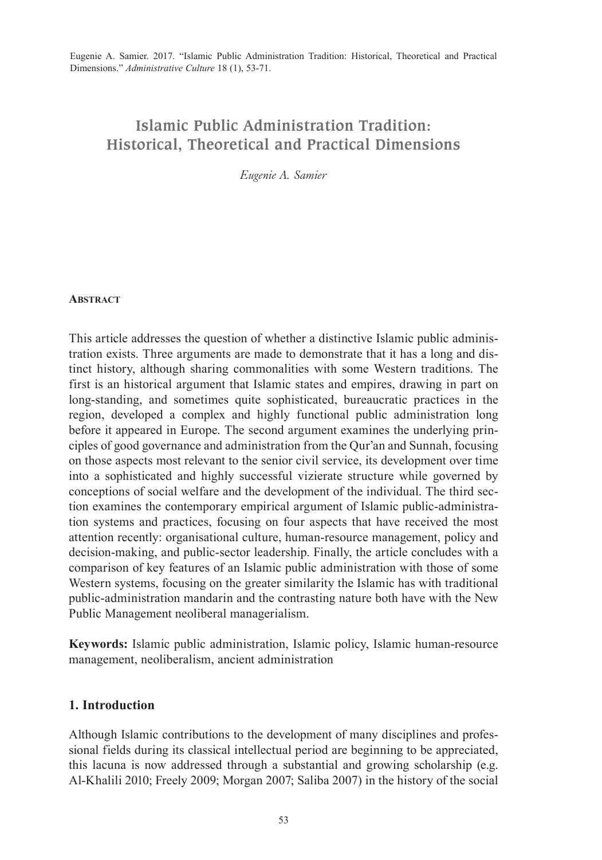# **Islamic Public Administration Tradition: Historical, Theoretical and Practical Dimensions**

*Eugenie A. Samier*

#### **ABSTRACT**

This article addresses the question of whether a distinctive Islamic public administration exists. Three arguments are made to demonstrate that it has a long and distinct history, although sharing commonalities with some Western traditions. The first is an historical argument that Islamic states and empires, drawing in part on long-standing, and sometimes quite sophisticated, bureaucratic practices in the region, developed a complex and highly functional public administration long before it appeared in Europe. The second argument examines the underlying principles of good governance and administration from the Qur'an and Sunnah, focusing on those aspects most relevant to the senior civil service, its development over time into a sophisticated and highly successful vizierate structure while governed by conceptions of social welfare and the development of the individual. The third section examines the contemporary empirical argument of Islamic public-administration systems and practices, focusing on four aspects that have received the most attention recently: organisational culture, human-resource management, policy and decision-making, and public-sector leadership. Finally, the article concludes with a comparison of key features of an Islamic public administration with those of some Western systems, focusing on the greater similarity the Islamic has with traditional public-administration mandarin and the contrasting nature both have with the New Public Management neoliberal managerialism.

**Keywords:** Islamic public administration, Islamic policy, Islamic human-resource management, neoliberalism, ancient administration

## **1. Introduction**

Although Islamic contributions to the development of many disciplines and professional fields during its classical intellectual period are beginning to be appreciated, this lacuna is now addressed through a substantial and growing scholarship (e.g. Al-Khalili 2010; Freely 2009; Morgan 2007; Saliba 2007) in the history of the social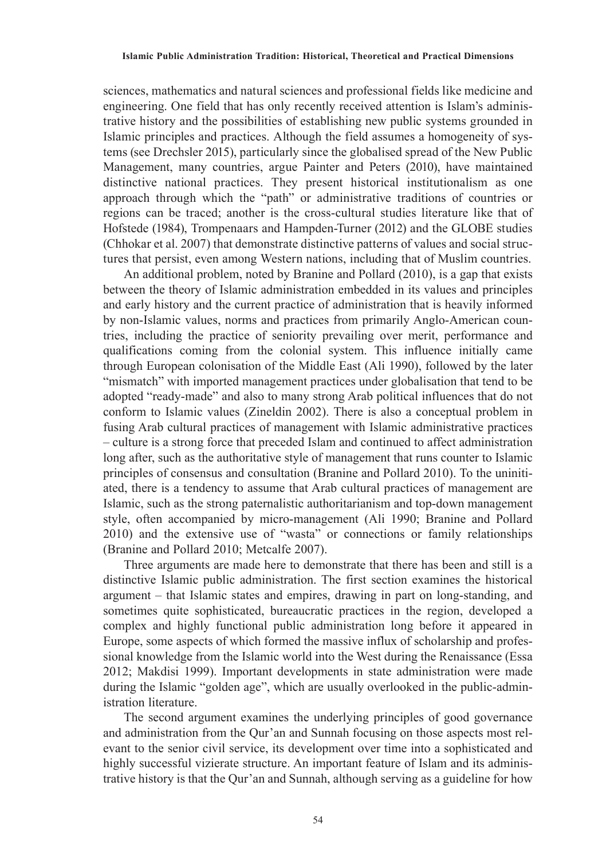sciences, mathematics and natural sciences and professional fields like medicine and engineering. One field that has only recently received attention is Islam's administrative history and the possibilities of establishing new public systems grounded in Islamic principles and practices. Although the field assumes a homogeneity of systems (see Drechsler 2015), particularly since the globalised spread of the New Public Management, many countries, argue Painter and Peters (2010), have maintained distinctive national practices. They present historical institutionalism as one approach through which the "path" or administrative traditions of countries or regions can be traced; another is the cross-cultural studies literature like that of Hofstede (1984), Trompenaars and Hampden-Turner (2012) and the GLOBE studies (Chhokar et al. 2007) that demonstrate distinctive patterns of values and social structures that persist, even among Western nations, including that of Muslim countries.

An additional problem, noted by Branine and Pollard (2010), is a gap that exists between the theory of Islamic administration embedded in its values and principles and early history and the current practice of administration that is heavily informed by non-Islamic values, norms and practices from primarily Anglo-American countries, including the practice of seniority prevailing over merit, performance and qualifications coming from the colonial system. This influence initially came through European colonisation of the Middle East (Ali 1990), followed by the later "mismatch" with imported management practices under globalisation that tend to be adopted "ready-made" and also to many strong Arab political influences that do not conform to Islamic values (Zineldin 2002). There is also a conceptual problem in fusing Arab cultural practices of management with Islamic administrative practices – culture is a strong force that preceded Islam and continued to affect administration long after, such as the authoritative style of management that runs counter to Islamic principles of consensus and consultation (Branine and Pollard 2010). To the uninitiated, there is a tendency to assume that Arab cultural practices of management are Islamic, such as the strong paternalistic authoritarianism and top-down management style, often accompanied by micro-management (Ali 1990; Branine and Pollard 2010) and the extensive use of "wasta" or connections or family relationships (Branine and Pollard 2010; Metcalfe 2007).

Three arguments are made here to demonstrate that there has been and still is a distinctive Islamic public administration. The first section examines the historical argument – that Islamic states and empires, drawing in part on long-standing, and sometimes quite sophisticated, bureaucratic practices in the region, developed a complex and highly functional public administration long before it appeared in Europe, some aspects of which formed the massive influx of scholarship and professional knowledge from the Islamic world into the West during the Renaissance (Essa 2012; Makdisi 1999). Important developments in state administration were made during the Islamic "golden age", which are usually overlooked in the public-administration literature.

The second argument examines the underlying principles of good governance and administration from the Qur'an and Sunnah focusing on those aspects most relevant to the senior civil service, its development over time into a sophisticated and highly successful vizierate structure. An important feature of Islam and its administrative history is that the Qur'an and Sunnah, although serving as a guideline for how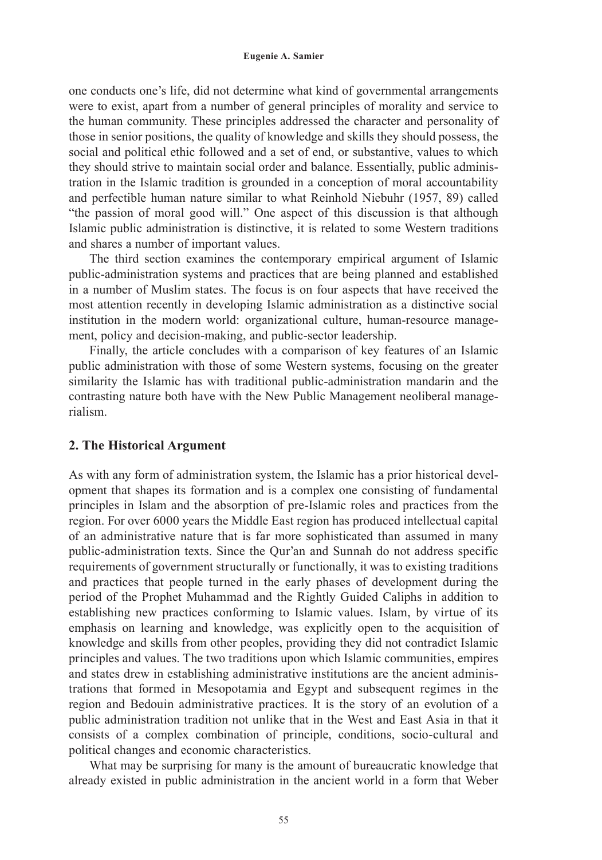one conducts one's life, did not determine what kind of governmental arrangements were to exist, apart from a number of general principles of morality and service to the human community. These principles addressed the character and personality of those in senior positions, the quality of knowledge and skills they should possess, the social and political ethic followed and a set of end, or substantive, values to which they should strive to maintain social order and balance. Essentially, public administration in the Islamic tradition is grounded in a conception of moral accountability and perfectible human nature similar to what Reinhold Niebuhr (1957, 89) called "the passion of moral good will." One aspect of this discussion is that although Islamic public administration is distinctive, it is related to some Western traditions and shares a number of important values.

The third section examines the contemporary empirical argument of Islamic public-administration systems and practices that are being planned and established in a number of Muslim states. The focus is on four aspects that have received the most attention recently in developing Islamic administration as a distinctive social institution in the modern world: organizational culture, human-resource management, policy and decision-making, and public-sector leadership.

Finally, the article concludes with a comparison of key features of an Islamic public administration with those of some Western systems, focusing on the greater similarity the Islamic has with traditional public-administration mandarin and the contrasting nature both have with the New Public Management neoliberal managerialism.

#### **2. The Historical Argument**

As with any form of administration system, the Islamic has a prior historical development that shapes its formation and is a complex one consisting of fundamental principles in Islam and the absorption of pre-Islamic roles and practices from the region. For over 6000 years the Middle East region has produced intellectual capital of an administrative nature that is far more sophisticated than assumed in many public-administration texts. Since the Qur'an and Sunnah do not address specific requirements of government structurally or functionally, it was to existing traditions and practices that people turned in the early phases of development during the period of the Prophet Muhammad and the Rightly Guided Caliphs in addition to establishing new practices conforming to Islamic values. Islam, by virtue of its emphasis on learning and knowledge, was explicitly open to the acquisition of knowledge and skills from other peoples, providing they did not contradict Islamic principles and values. The two traditions upon which Islamic communities, empires and states drew in establishing administrative institutions are the ancient administrations that formed in Mesopotamia and Egypt and subsequent regimes in the region and Bedouin administrative practices. It is the story of an evolution of a public administration tradition not unlike that in the West and East Asia in that it consists of a complex combination of principle, conditions, socio-cultural and political changes and economic characteristics.

What may be surprising for many is the amount of bureaucratic knowledge that already existed in public administration in the ancient world in a form that Weber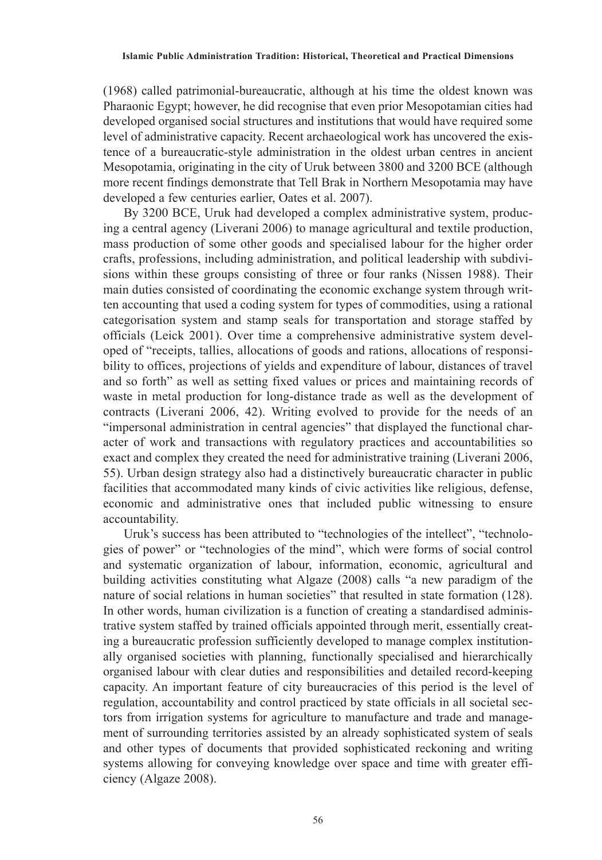(1968) called patrimonial-bureaucratic, although at his time the oldest known was Pharaonic Egypt; however, he did recognise that even prior Mesopotamian cities had developed organised social structures and institutions that would have required some level of administrative capacity. Recent archaeological work has uncovered the existence of a bureaucratic-style administration in the oldest urban centres in ancient Mesopotamia, originating in the city of Uruk between 3800 and 3200 BCE (although more recent findings demonstrate that Tell Brak in Northern Mesopotamia may have developed a few centuries earlier, Oates et al. 2007).

By 3200 BCE, Uruk had developed a complex administrative system, producing a central agency (Liverani 2006) to manage agricultural and textile production, mass production of some other goods and specialised labour for the higher order crafts, professions, including administration, and political leadership with subdivisions within these groups consisting of three or four ranks (Nissen 1988). Their main duties consisted of coordinating the economic exchange system through written accounting that used a coding system for types of commodities, using a rational categorisation system and stamp seals for transportation and storage staffed by officials (Leick 2001). Over time a comprehensive administrative system developed of "receipts, tallies, allocations of goods and rations, allocations of responsibility to offices, projections of yields and expenditure of labour, distances of travel and so forth" as well as setting fixed values or prices and maintaining records of waste in metal production for long-distance trade as well as the development of contracts (Liverani 2006, 42). Writing evolved to provide for the needs of an "impersonal administration in central agencies" that displayed the functional character of work and transactions with regulatory practices and accountabilities so exact and complex they created the need for administrative training (Liverani 2006, 55). Urban design strategy also had a distinctively bureaucratic character in public facilities that accommodated many kinds of civic activities like religious, defense, economic and administrative ones that included public witnessing to ensure accountability.

Uruk's success has been attributed to "technologies of the intellect", "technologies of power" or "technologies of the mind", which were forms of social control and systematic organization of labour, information, economic, agricultural and building activities constituting what Algaze (2008) calls "a new paradigm of the nature of social relations in human societies" that resulted in state formation (128). In other words, human civilization is a function of creating a standardised administrative system staffed by trained officials appointed through merit, essentially creating a bureaucratic profession sufficiently developed to manage complex institutionally organised societies with planning, functionally specialised and hierarchically organised labour with clear duties and responsibilities and detailed record-keeping capacity. An important feature of city bureaucracies of this period is the level of regulation, accountability and control practiced by state officials in all societal sectors from irrigation systems for agriculture to manufacture and trade and management of surrounding territories assisted by an already sophisticated system of seals and other types of documents that provided sophisticated reckoning and writing systems allowing for conveying knowledge over space and time with greater efficiency (Algaze 2008).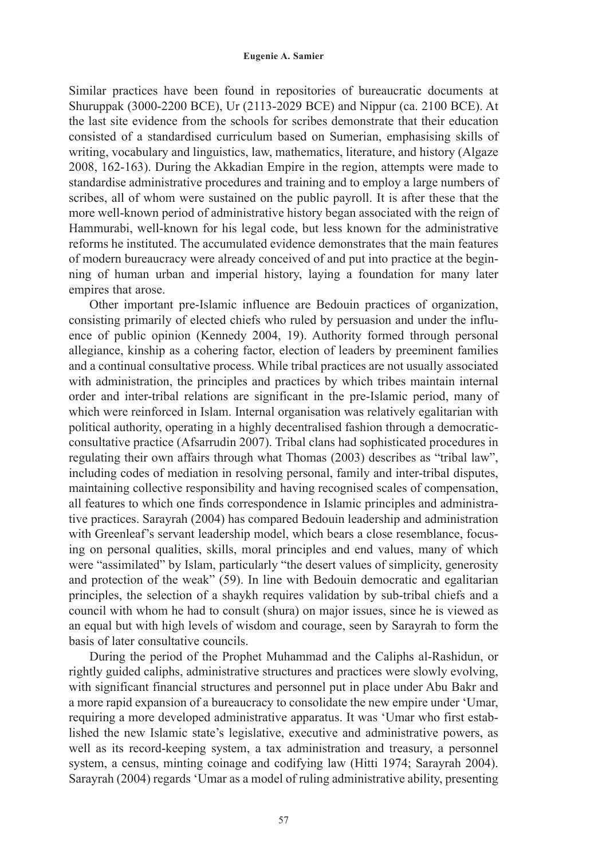Similar practices have been found in repositories of bureaucratic documents at Shuruppak (3000-2200 BCE), Ur (2113-2029 BCE) and Nippur (ca. 2100 BCE). At the last site evidence from the schools for scribes demonstrate that their education consisted of a standardised curriculum based on Sumerian, emphasising skills of writing, vocabulary and linguistics, law, mathematics, literature, and history (Algaze 2008, 162-163). During the Akkadian Empire in the region, attempts were made to standardise administrative procedures and training and to employ a large numbers of scribes, all of whom were sustained on the public payroll. It is after these that the more well-known period of administrative history began associated with the reign of Hammurabi, well-known for his legal code, but less known for the administrative reforms he instituted. The accumulated evidence demonstrates that the main features of modern bureaucracy were already conceived of and put into practice at the beginning of human urban and imperial history, laying a foundation for many later empires that arose.

Other important pre-Islamic influence are Bedouin practices of organization, consisting primarily of elected chiefs who ruled by persuasion and under the influence of public opinion (Kennedy 2004, 19). Authority formed through personal allegiance, kinship as a cohering factor, election of leaders by preeminent families and a continual consultative process. While tribal practices are not usually associated with administration, the principles and practices by which tribes maintain internal order and inter-tribal relations are significant in the pre-Islamic period, many of which were reinforced in Islam. Internal organisation was relatively egalitarian with political authority, operating in a highly decentralised fashion through a democraticconsultative practice (Afsarrudin 2007). Tribal clans had sophisticated procedures in regulating their own affairs through what Thomas (2003) describes as "tribal law", including codes of mediation in resolving personal, family and inter-tribal disputes, maintaining collective responsibility and having recognised scales of compensation, all features to which one finds correspondence in Islamic principles and administrative practices. Sarayrah (2004) has compared Bedouin leadership and administration with Greenleaf's servant leadership model, which bears a close resemblance, focusing on personal qualities, skills, moral principles and end values, many of which were "assimilated" by Islam, particularly "the desert values of simplicity, generosity and protection of the weak" (59). In line with Bedouin democratic and egalitarian principles, the selection of a shaykh requires validation by sub-tribal chiefs and a council with whom he had to consult (shura) on major issues, since he is viewed as an equal but with high levels of wisdom and courage, seen by Sarayrah to form the basis of later consultative councils.

During the period of the Prophet Muhammad and the Caliphs al-Rashidun, or rightly guided caliphs, administrative structures and practices were slowly evolving, with significant financial structures and personnel put in place under Abu Bakr and a more rapid expansion of a bureaucracy to consolidate the new empire under 'Umar, requiring a more developed administrative apparatus. It was 'Umar who first established the new Islamic state's legislative, executive and administrative powers, as well as its record-keeping system, a tax administration and treasury, a personnel system, a census, minting coinage and codifying law (Hitti 1974; Sarayrah 2004). Sarayrah (2004) regards 'Umar as a model of ruling administrative ability, presenting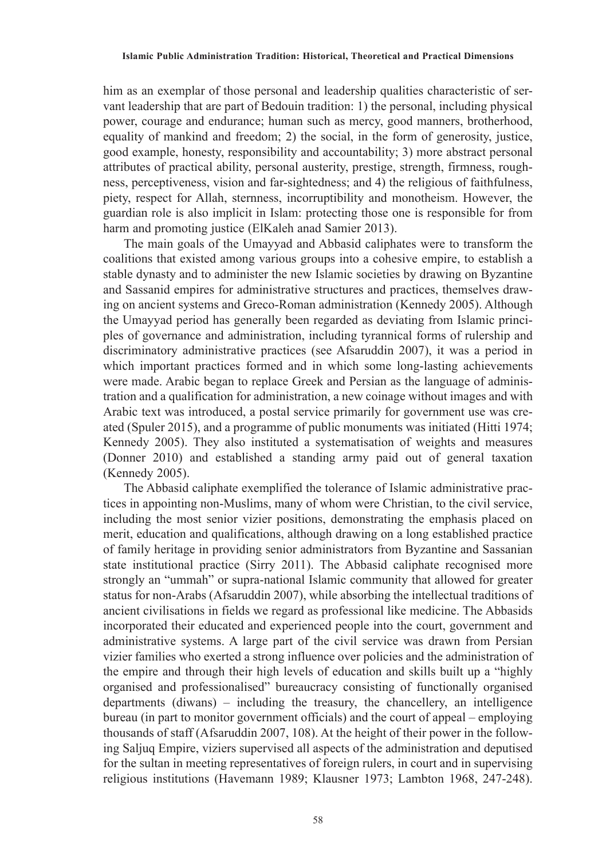him as an exemplar of those personal and leadership qualities characteristic of servant leadership that are part of Bedouin tradition: 1) the personal, including physical power, courage and endurance; human such as mercy, good manners, brotherhood, equality of mankind and freedom; 2) the social, in the form of generosity, justice, good example, honesty, responsibility and accountability; 3) more abstract personal attributes of practical ability, personal austerity, prestige, strength, firmness, roughness, perceptiveness, vision and far-sightedness; and 4) the religious of faithfulness, piety, respect for Allah, sternness, incorruptibility and monotheism. However, the guardian role is also implicit in Islam: protecting those one is responsible for from harm and promoting justice (ElKaleh anad Samier 2013).

The main goals of the Umayyad and Abbasid caliphates were to transform the coalitions that existed among various groups into a cohesive empire, to establish a stable dynasty and to administer the new Islamic societies by drawing on Byzantine and Sassanid empires for administrative structures and practices, themselves drawing on ancient systems and Greco-Roman administration (Kennedy 2005). Although the Umayyad period has generally been regarded as deviating from Islamic principles of governance and administration, including tyrannical forms of rulership and discriminatory administrative practices (see Afsaruddin 2007), it was a period in which important practices formed and in which some long-lasting achievements were made. Arabic began to replace Greek and Persian as the language of administration and a qualification for administration, a new coinage without images and with Arabic text was introduced, a postal service primarily for government use was created (Spuler 2015), and a programme of public monuments was initiated (Hitti 1974; Kennedy 2005). They also instituted a systematisation of weights and measures (Donner 2010) and established a standing army paid out of general taxation (Kennedy 2005).

The Abbasid caliphate exemplified the tolerance of Islamic administrative practices in appointing non-Muslims, many of whom were Christian, to the civil service, including the most senior vizier positions, demonstrating the emphasis placed on merit, education and qualifications, although drawing on a long established practice of family heritage in providing senior administrators from Byzantine and Sassanian state institutional practice (Sirry 2011). The Abbasid caliphate recognised more strongly an "ummah" or supra-national Islamic community that allowed for greater status for non-Arabs (Afsaruddin 2007), while absorbing the intellectual traditions of ancient civilisations in fields we regard as professional like medicine. The Abbasids incorporated their educated and experienced people into the court, government and administrative systems. A large part of the civil service was drawn from Persian vizier families who exerted a strong influence over policies and the administration of the empire and through their high levels of education and skills built up a "highly organised and professionalised" bureaucracy consisting of functionally organised departments (diwans) – including the treasury, the chancellery, an intelligence bureau (in part to monitor government officials) and the court of appeal – employing thousands of staff (Afsaruddin 2007, 108). At the height of their power in the following Saljuq Empire, viziers supervised all aspects of the administration and deputised for the sultan in meeting representatives of foreign rulers, in court and in supervising religious institutions (Havemann 1989; Klausner 1973; Lambton 1968, 247-248).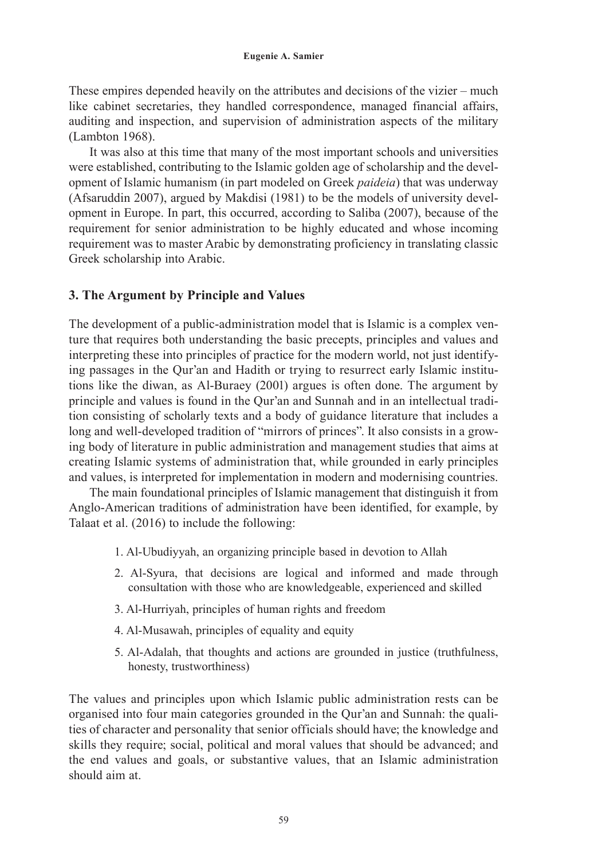These empires depended heavily on the attributes and decisions of the vizier – much like cabinet secretaries, they handled correspondence, managed financial affairs, auditing and inspection, and supervision of administration aspects of the military (Lambton 1968).

It was also at this time that many of the most important schools and universities were established, contributing to the Islamic golden age of scholarship and the development of Islamic humanism (in part modeled on Greek *paideia*) that was underway (Afsaruddin 2007), argued by Makdisi (1981) to be the models of university development in Europe. In part, this occurred, according to Saliba (2007), because of the requirement for senior administration to be highly educated and whose incoming requirement was to master Arabic by demonstrating proficiency in translating classic Greek scholarship into Arabic.

### **3. The Argument by Principle and Values**

The development of a public-administration model that is Islamic is a complex venture that requires both understanding the basic precepts, principles and values and interpreting these into principles of practice for the modern world, not just identifying passages in the Qur'an and Hadith or trying to resurrect early Islamic institutions like the diwan, as Al-Buraey (2001) argues is often done. The argument by principle and values is found in the Qur'an and Sunnah and in an intellectual tradition consisting of scholarly texts and a body of guidance literature that includes a long and well-developed tradition of "mirrors of princes". It also consists in a growing body of literature in public administration and management studies that aims at creating Islamic systems of administration that, while grounded in early principles and values, is interpreted for implementation in modern and modernising countries.

The main foundational principles of Islamic management that distinguish it from Anglo-American traditions of administration have been identified, for example, by Talaat et al. (2016) to include the following:

- 1. Al-Ubudiyyah, an organizing principle based in devotion to Allah
- 2. Al-Syura, that decisions are logical and informed and made through consultation with those who are knowledgeable, experienced and skilled
- 3. Al-Hurriyah, principles of human rights and freedom
- 4. Al-Musawah, principles of equality and equity
- 5. Al-Adalah, that thoughts and actions are grounded in justice (truthfulness, honesty, trustworthiness)

The values and principles upon which Islamic public administration rests can be organised into four main categories grounded in the Qur'an and Sunnah: the qualities of character and personality that senior officials should have; the knowledge and skills they require; social, political and moral values that should be advanced; and the end values and goals, or substantive values, that an Islamic administration should aim at.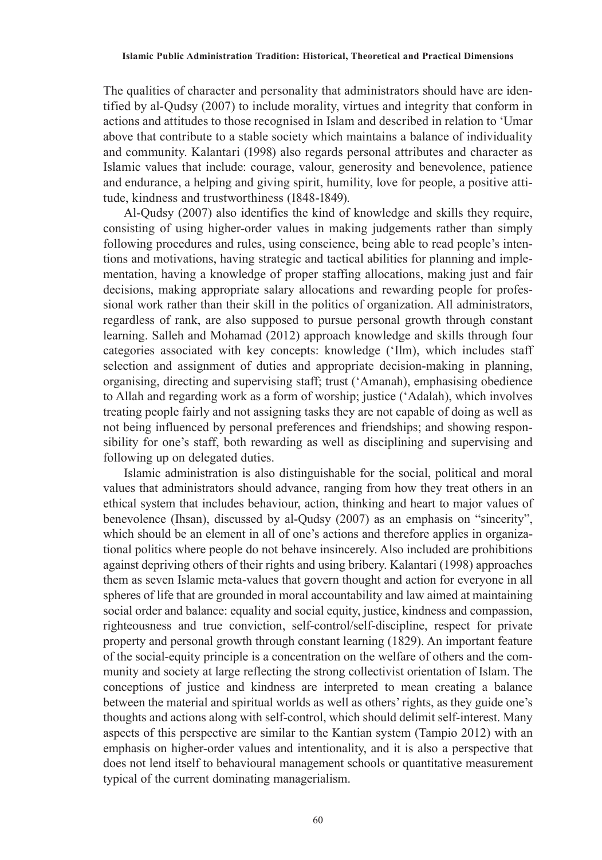The qualities of character and personality that administrators should have are identified by al-Qudsy (2007) to include morality, virtues and integrity that conform in actions and attitudes to those recognised in Islam and described in relation to 'Umar above that contribute to a stable society which maintains a balance of individuality and community. Kalantari (1998) also regards personal attributes and character as Islamic values that include: courage, valour, generosity and benevolence, patience and endurance, a helping and giving spirit, humility, love for people, a positive attitude, kindness and trustworthiness (1848-1849).

Al-Qudsy (2007) also identifies the kind of knowledge and skills they require, consisting of using higher-order values in making judgements rather than simply following procedures and rules, using conscience, being able to read people's intentions and motivations, having strategic and tactical abilities for planning and implementation, having a knowledge of proper staffing allocations, making just and fair decisions, making appropriate salary allocations and rewarding people for professional work rather than their skill in the politics of organization. All administrators, regardless of rank, are also supposed to pursue personal growth through constant learning. Salleh and Mohamad (2012) approach knowledge and skills through four categories associated with key concepts: knowledge ('Ilm), which includes staff selection and assignment of duties and appropriate decision-making in planning, organising, directing and supervising staff; trust ('Amanah), emphasising obedience to Allah and regarding work as a form of worship; justice ('Adalah), which involves treating people fairly and not assigning tasks they are not capable of doing as well as not being influenced by personal preferences and friendships; and showing responsibility for one's staff, both rewarding as well as disciplining and supervising and following up on delegated duties.

Islamic administration is also distinguishable for the social, political and moral values that administrators should advance, ranging from how they treat others in an ethical system that includes behaviour, action, thinking and heart to major values of benevolence (Ihsan), discussed by al-Qudsy (2007) as an emphasis on "sincerity", which should be an element in all of one's actions and therefore applies in organizational politics where people do not behave insincerely. Also included are prohibitions against depriving others of their rights and using bribery. Kalantari (1998) approaches them as seven Islamic meta-values that govern thought and action for everyone in all spheres of life that are grounded in moral accountability and law aimed at maintaining social order and balance: equality and social equity, justice, kindness and compassion, righteousness and true conviction, self-control/self-discipline, respect for private property and personal growth through constant learning (1829). An important feature of the social-equity principle is a concentration on the welfare of others and the community and society at large reflecting the strong collectivist orientation of Islam. The conceptions of justice and kindness are interpreted to mean creating a balance between the material and spiritual worlds as well as others' rights, as they guide one's thoughts and actions along with self-control, which should delimit self-interest. Many aspects of this perspective are similar to the Kantian system (Tampio 2012) with an emphasis on higher-order values and intentionality, and it is also a perspective that does not lend itself to behavioural management schools or quantitative measurement typical of the current dominating managerialism.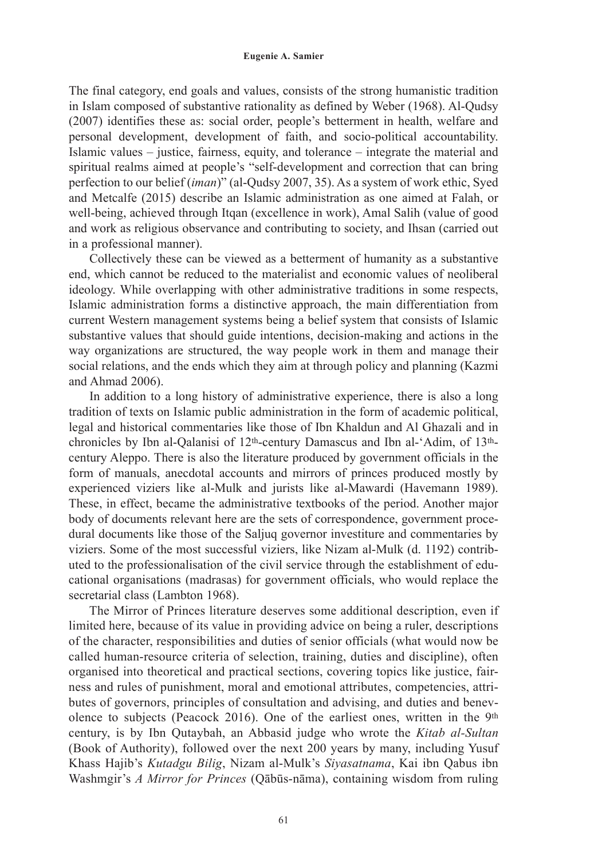The final category, end goals and values, consists of the strong humanistic tradition in Islam composed of substantive rationality as defined by Weber (1968). Al-Qudsy (2007) identifies these as: social order, people's betterment in health, welfare and personal development, development of faith, and socio-political accountability. Islamic values – justice, fairness, equity, and tolerance – integrate the material and spiritual realms aimed at people's "self-development and correction that can bring perfection to our belief (*iman*)" (al-Qudsy 2007, 35). As a system of work ethic, Syed and Metcalfe (2015) describe an Islamic administration as one aimed at Falah, or well-being, achieved through Itqan (excellence in work), Amal Salih (value of good and work as religious observance and contributing to society, and Ihsan (carried out in a professional manner).

Collectively these can be viewed as a betterment of humanity as a substantive end, which cannot be reduced to the materialist and economic values of neoliberal ideology. While overlapping with other administrative traditions in some respects, Islamic administration forms a distinctive approach, the main differentiation from current Western management systems being a belief system that consists of Islamic substantive values that should guide intentions, decision-making and actions in the way organizations are structured, the way people work in them and manage their social relations, and the ends which they aim at through policy and planning (Kazmi and Ahmad 2006).

In addition to a long history of administrative experience, there is also a long tradition of texts on Islamic public administration in the form of academic political, legal and historical commentaries like those of Ibn Khaldun and Al Ghazali and in chronicles by Ibn al-Qalanisi of 12th-century Damascus and Ibn al-'Adim, of 13thcentury Aleppo. There is also the literature produced by government officials in the form of manuals, anecdotal accounts and mirrors of princes produced mostly by experienced viziers like al-Mulk and jurists like al-Mawardi (Havemann 1989). These, in effect, became the administrative textbooks of the period. Another major body of documents relevant here are the sets of correspondence, government procedural documents like those of the Saljuq governor investiture and commentaries by viziers. Some of the most successful viziers, like Nizam al-Mulk (d. 1192) contributed to the professionalisation of the civil service through the establishment of educational organisations (madrasas) for government officials, who would replace the secretarial class (Lambton 1968).

The Mirror of Princes literature deserves some additional description, even if limited here, because of its value in providing advice on being a ruler, descriptions of the character, responsibilities and duties of senior officials (what would now be called human-resource criteria of selection, training, duties and discipline), often organised into theoretical and practical sections, covering topics like justice, fairness and rules of punishment, moral and emotional attributes, competencies, attributes of governors, principles of consultation and advising, and duties and benevolence to subjects (Peacock 2016). One of the earliest ones, written in the  $9<sup>th</sup>$ century, is by Ibn Qutaybah, an Abbasid judge who wrote the *Kitab al-Sultan* (Book of Authority), followed over the next 200 years by many, including Yusuf Khass Hajib's *Kutadgu Bilig*, Nizam al-Mulk's *Siyasatnama*, Kai ibn Qabus ibn Washmgir's *A Mirror for Princes* (Qābūs-nāma), containing wisdom from ruling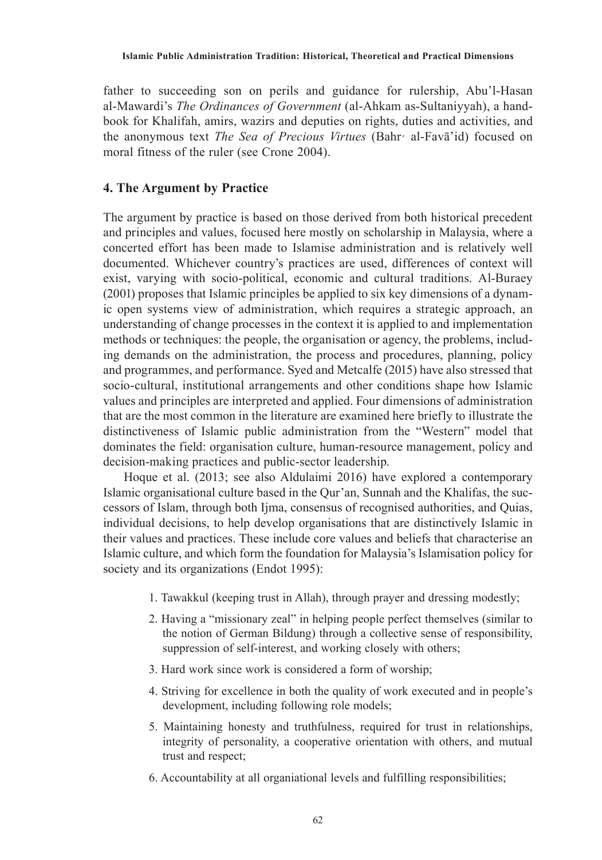father to succeeding son on perils and guidance for rulership, Abu'l-Hasan al-Mawardi's *The Ordinances of Government* (al-Ahkam as-Sultaniyyah), a handbook for Khalifah, amirs, wazirs and deputies on rights, duties and activities, and the anonymous text *The Sea of Precious Virtues* (Bahr· al-Favā'id) focused on moral fitness of the ruler (see Crone 2004).

# **4. The Argument by Practice**

The argument by practice is based on those derived from both historical precedent and principles and values, focused here mostly on scholarship in Malaysia, where a concerted effort has been made to Islamise administration and is relatively well documented. Whichever country's practices are used, differences of context will exist, varying with socio-political, economic and cultural traditions. Al-Buraey (2001) proposes that Islamic principles be applied to six key dimensions of a dynamic open systems view of administration, which requires a strategic approach, an understanding of change processes in the context it is applied to and implementation methods or techniques: the people, the organisation or agency, the problems, including demands on the administration, the process and procedures, planning, policy and programmes, and performance. Syed and Metcalfe (2015) have also stressed that socio-cultural, institutional arrangements and other conditions shape how Islamic values and principles are interpreted and applied. Four dimensions of administration that are the most common in the literature are examined here briefly to illustrate the distinctiveness of Islamic public administration from the "Western" model that dominates the field: organisation culture, human-resource management, policy and decision-making practices and public-sector leadership.

Hoque et al. (2013; see also Aldulaimi 2016) have explored a contemporary Islamic organisational culture based in the Qur'an, Sunnah and the Khalifas, the successors of Islam, through both Ijma, consensus of recognised authorities, and Quias, individual decisions, to help develop organisations that are distinctively Islamic in their values and practices. These include core values and beliefs that characterise an Islamic culture, and which form the foundation for Malaysia's Islamisation policy for society and its organizations (Endot 1995):

- 1. Tawakkul (keeping trust in Allah), through prayer and dressing modestly;
- 2. Having a "missionary zeal" in helping people perfect themselves (similar to the notion of German Bildung) through a collective sense of responsibility, suppression of self-interest, and working closely with others;
- 3. Hard work since work is considered a form of worship;
- 4. Striving for excellence in both the quality of work executed and in people's development, including following role models;
- 5. Maintaining honesty and truthfulness, required for trust in relationships, integrity of personality, a cooperative orientation with others, and mutual trust and respect;
- 6. Accountability at all organiational levels and fulfilling responsibilities;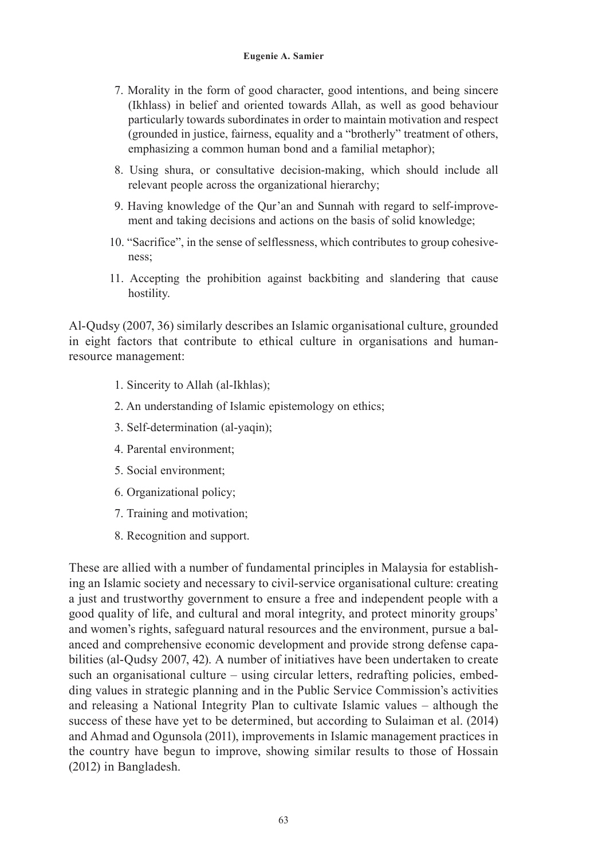- 7. Morality in the form of good character, good intentions, and being sincere (Ikhlass) in belief and oriented towards Allah, as well as good behaviour particularly towards subordinates in order to maintain motivation and respect (grounded in justice, fairness, equality and a "brotherly" treatment of others, emphasizing a common human bond and a familial metaphor);
- 8. Using shura, or consultative decision-making, which should include all relevant people across the organizational hierarchy;
- 9. Having knowledge of the Qur'an and Sunnah with regard to self-improvement and taking decisions and actions on the basis of solid knowledge;
- 10. "Sacrifice", in the sense of selflessness, which contributes to group cohesiveness;
- 11. Accepting the prohibition against backbiting and slandering that cause hostility.

Al-Qudsy (2007, 36) similarly describes an Islamic organisational culture, grounded in eight factors that contribute to ethical culture in organisations and humanresource management:

- 1. Sincerity to Allah (al-Ikhlas);
- 2. An understanding of Islamic epistemology on ethics;
- 3. Self-determination (al-yaqin);
- 4. Parental environment;
- 5. Social environment;
- 6. Organizational policy;
- 7. Training and motivation;
- 8. Recognition and support.

These are allied with a number of fundamental principles in Malaysia for establishing an Islamic society and necessary to civil-service organisational culture: creating a just and trustworthy government to ensure a free and independent people with a good quality of life, and cultural and moral integrity, and protect minority groups' and women's rights, safeguard natural resources and the environment, pursue a balanced and comprehensive economic development and provide strong defense capabilities (al-Qudsy 2007, 42). A number of initiatives have been undertaken to create such an organisational culture – using circular letters, redrafting policies, embedding values in strategic planning and in the Public Service Commission's activities and releasing a National Integrity Plan to cultivate Islamic values – although the success of these have yet to be determined, but according to Sulaiman et al. (2014) and Ahmad and Ogunsola (2011), improvements in Islamic management practices in the country have begun to improve, showing similar results to those of Hossain (2012) in Bangladesh.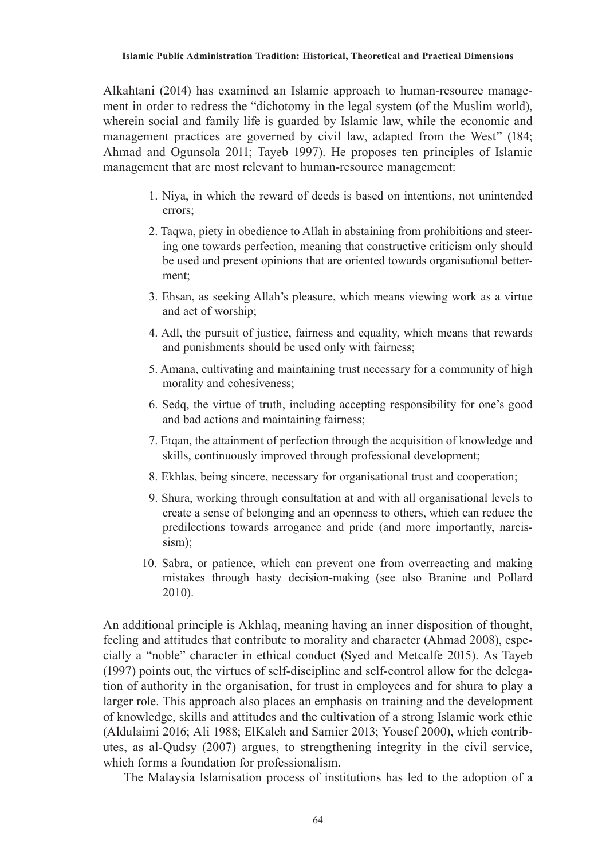Alkahtani (2014) has examined an Islamic approach to human-resource management in order to redress the "dichotomy in the legal system (of the Muslim world), wherein social and family life is guarded by Islamic law, while the economic and management practices are governed by civil law, adapted from the West" (184; Ahmad and Ogunsola 2011; Tayeb 1997). He proposes ten principles of Islamic management that are most relevant to human-resource management:

- 1. Niya, in which the reward of deeds is based on intentions, not unintended errors;
- 2. Taqwa, piety in obedience to Allah in abstaining from prohibitions and steering one towards perfection, meaning that constructive criticism only should be used and present opinions that are oriented towards organisational betterment;
- 3. Ehsan, as seeking Allah's pleasure, which means viewing work as a virtue and act of worship;
- 4. Adl, the pursuit of justice, fairness and equality, which means that rewards and punishments should be used only with fairness;
- 5. Amana, cultivating and maintaining trust necessary for a community of high morality and cohesiveness;
- 6. Sedq, the virtue of truth, including accepting responsibility for one's good and bad actions and maintaining fairness;
- 7. Etqan, the attainment of perfection through the acquisition of knowledge and skills, continuously improved through professional development;
- 8. Ekhlas, being sincere, necessary for organisational trust and cooperation;
- 9. Shura, working through consultation at and with all organisational levels to create a sense of belonging and an openness to others, which can reduce the predilections towards arrogance and pride (and more importantly, narcissism);
- 10. Sabra, or patience, which can prevent one from overreacting and making mistakes through hasty decision-making (see also Branine and Pollard 2010).

An additional principle is Akhlaq, meaning having an inner disposition of thought, feeling and attitudes that contribute to morality and character (Ahmad 2008), especially a "noble" character in ethical conduct (Syed and Metcalfe 2015). As Tayeb (1997) points out, the virtues of self-discipline and self-control allow for the delegation of authority in the organisation, for trust in employees and for shura to play a larger role. This approach also places an emphasis on training and the development of knowledge, skills and attitudes and the cultivation of a strong Islamic work ethic (Aldulaimi 2016; Ali 1988; ElKaleh and Samier 2013; Yousef 2000), which contributes, as al-Qudsy (2007) argues, to strengthening integrity in the civil service, which forms a foundation for professionalism.

The Malaysia Islamisation process of institutions has led to the adoption of a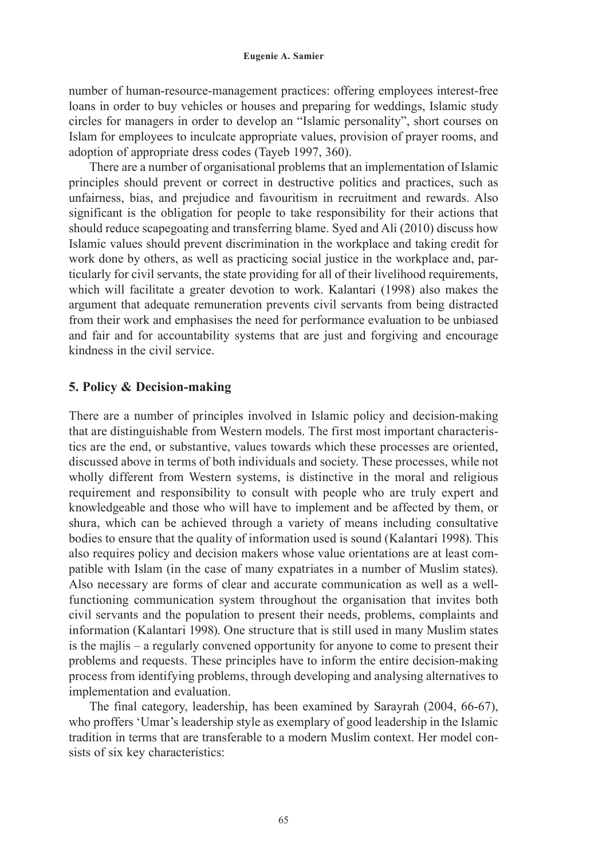number of human-resource-management practices: offering employees interest-free loans in order to buy vehicles or houses and preparing for weddings, Islamic study circles for managers in order to develop an "Islamic personality", short courses on Islam for employees to inculcate appropriate values, provision of prayer rooms, and adoption of appropriate dress codes (Tayeb 1997, 360).

There are a number of organisational problems that an implementation of Islamic principles should prevent or correct in destructive politics and practices, such as unfairness, bias, and prejudice and favouritism in recruitment and rewards. Also significant is the obligation for people to take responsibility for their actions that should reduce scapegoating and transferring blame. Syed and Ali (2010) discuss how Islamic values should prevent discrimination in the workplace and taking credit for work done by others, as well as practicing social justice in the workplace and, particularly for civil servants, the state providing for all of their livelihood requirements, which will facilitate a greater devotion to work. Kalantari (1998) also makes the argument that adequate remuneration prevents civil servants from being distracted from their work and emphasises the need for performance evaluation to be unbiased and fair and for accountability systems that are just and forgiving and encourage kindness in the civil service.

### **5. Policy & Decision-making**

There are a number of principles involved in Islamic policy and decision-making that are distinguishable from Western models. The first most important characteristics are the end, or substantive, values towards which these processes are oriented, discussed above in terms of both individuals and society. These processes, while not wholly different from Western systems, is distinctive in the moral and religious requirement and responsibility to consult with people who are truly expert and knowledgeable and those who will have to implement and be affected by them, or shura, which can be achieved through a variety of means including consultative bodies to ensure that the quality of information used is sound (Kalantari 1998). This also requires policy and decision makers whose value orientations are at least compatible with Islam (in the case of many expatriates in a number of Muslim states). Also necessary are forms of clear and accurate communication as well as a wellfunctioning communication system throughout the organisation that invites both civil servants and the population to present their needs, problems, complaints and information (Kalantari 1998). One structure that is still used in many Muslim states is the majlis – a regularly convened opportunity for anyone to come to present their problems and requests. These principles have to inform the entire decision-making process from identifying problems, through developing and analysing alternatives to implementation and evaluation.

The final category, leadership, has been examined by Sarayrah (2004, 66-67), who proffers 'Umar's leadership style as exemplary of good leadership in the Islamic tradition in terms that are transferable to a modern Muslim context. Her model consists of six key characteristics: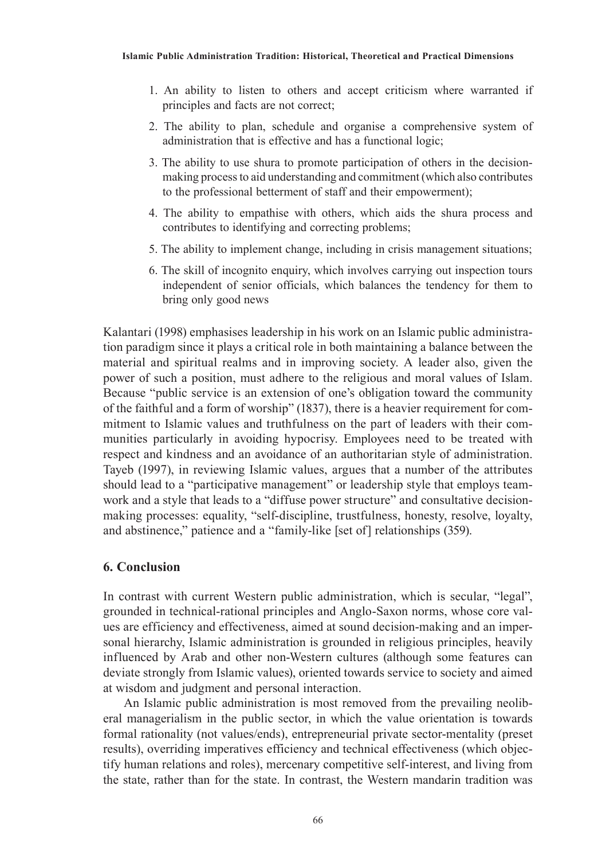- 1. An ability to listen to others and accept criticism where warranted if principles and facts are not correct;
- 2. The ability to plan, schedule and organise a comprehensive system of administration that is effective and has a functional logic;
- 3. The ability to use shura to promote participation of others in the decisionmaking process to aid understanding and commitment (which also contributes to the professional betterment of staff and their empowerment);
- 4. The ability to empathise with others, which aids the shura process and contributes to identifying and correcting problems;
- 5. The ability to implement change, including in crisis management situations;
- 6. The skill of incognito enquiry, which involves carrying out inspection tours independent of senior officials, which balances the tendency for them to bring only good news

Kalantari (1998) emphasises leadership in his work on an Islamic public administration paradigm since it plays a critical role in both maintaining a balance between the material and spiritual realms and in improving society. A leader also, given the power of such a position, must adhere to the religious and moral values of Islam. Because "public service is an extension of one's obligation toward the community of the faithful and a form of worship" (1837), there is a heavier requirement for commitment to Islamic values and truthfulness on the part of leaders with their communities particularly in avoiding hypocrisy. Employees need to be treated with respect and kindness and an avoidance of an authoritarian style of administration. Tayeb (1997), in reviewing Islamic values, argues that a number of the attributes should lead to a "participative management" or leadership style that employs teamwork and a style that leads to a "diffuse power structure" and consultative decisionmaking processes: equality, "self-discipline, trustfulness, honesty, resolve, loyalty, and abstinence," patience and a "family-like [set of] relationships (359).

## **6. Conclusion**

In contrast with current Western public administration, which is secular, "legal", grounded in technical-rational principles and Anglo-Saxon norms, whose core values are efficiency and effectiveness, aimed at sound decision-making and an impersonal hierarchy, Islamic administration is grounded in religious principles, heavily influenced by Arab and other non-Western cultures (although some features can deviate strongly from Islamic values), oriented towards service to society and aimed at wisdom and judgment and personal interaction.

An Islamic public administration is most removed from the prevailing neoliberal managerialism in the public sector, in which the value orientation is towards formal rationality (not values/ends), entrepreneurial private sector-mentality (preset results), overriding imperatives efficiency and technical effectiveness (which objectify human relations and roles), mercenary competitive self-interest, and living from the state, rather than for the state. In contrast, the Western mandarin tradition was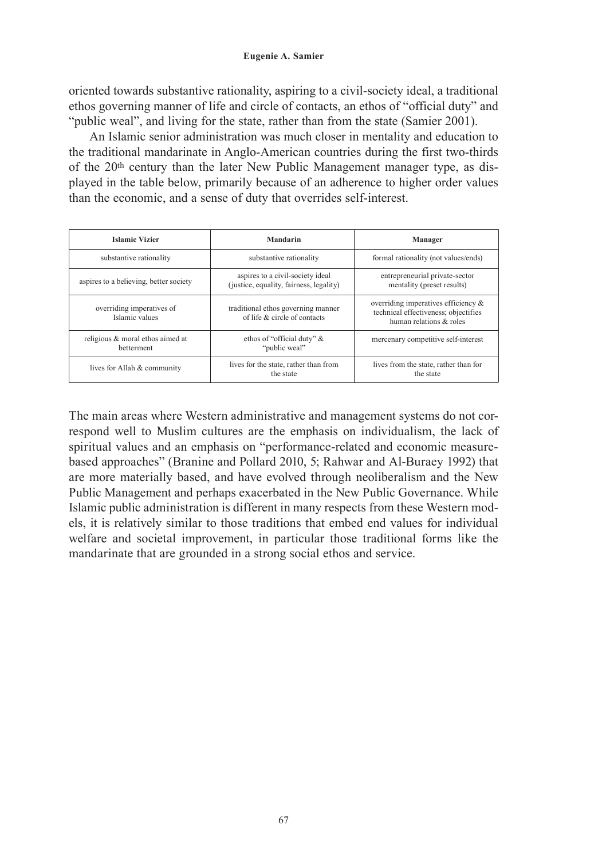oriented towards substantive rationality, aspiring to a civil-society ideal, a traditional ethos governing manner of life and circle of contacts, an ethos of "official duty" and "public weal", and living for the state, rather than from the state (Samier 2001).

An Islamic senior administration was much closer in mentality and education to the traditional mandarinate in Anglo-American countries during the first two-thirds of the 20th century than the later New Public Management manager type, as displayed in the table below, primarily because of an adherence to higher order values than the economic, and a sense of duty that overrides self-interest.

| <b>Islamic Vizier</b>                                 | Mandarin                                                                    | Manager                                                                                                |
|-------------------------------------------------------|-----------------------------------------------------------------------------|--------------------------------------------------------------------------------------------------------|
| substantive rationality                               | substantive rationality                                                     | formal rationality (not values/ends)                                                                   |
| aspires to a believing, better society                | aspires to a civil-society ideal<br>(justice, equality, fairness, legality) | entrepreneurial private-sector<br>mentality (preset results)                                           |
| overriding imperatives of<br>Islamic values           | traditional ethos governing manner<br>of life $\&$ circle of contacts       | overriding imperatives efficiency &<br>technical effectiveness; objectifies<br>human relations & roles |
| religious & moral ethos aimed at<br><b>betterment</b> | ethos of "official duty" &<br>"public weal"                                 | mercenary competitive self-interest                                                                    |
| lives for Allah & community                           | lives for the state, rather than from<br>the state                          | lives from the state, rather than for<br>the state                                                     |

The main areas where Western administrative and management systems do not correspond well to Muslim cultures are the emphasis on individualism, the lack of spiritual values and an emphasis on "performance-related and economic measurebased approaches" (Branine and Pollard 2010, 5; Rahwar and Al-Buraey 1992) that are more materially based, and have evolved through neoliberalism and the New Public Management and perhaps exacerbated in the New Public Governance. While Islamic public administration is different in many respects from these Western models, it is relatively similar to those traditions that embed end values for individual welfare and societal improvement, in particular those traditional forms like the mandarinate that are grounded in a strong social ethos and service.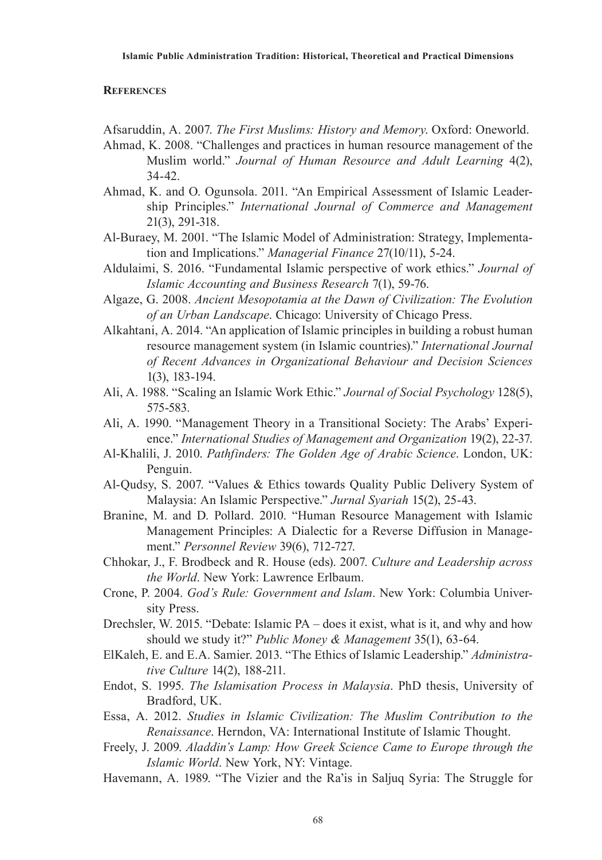#### **References**

Afsaruddin, A. 2007. *The First Muslims: History and Memory*. Oxford: Oneworld.

- Ahmad, K. 2008. "Challenges and practices in human resource management of the Muslim world." *Journal of Human Resource and Adult Learning* 4(2), 34-42.
- Ahmad, K. and O. Ogunsola. 2011. "An Empirical Assessment of Islamic Leadership Principles." *International Journal of Commerce and Management*  21(3), 291-318.
- Al-Buraey, M. 2001. "The Islamic Model of Administration: Strategy, Implementation and Implications." *Managerial Finance* 27(10/11), 5-24.
- Aldulaimi, S. 2016. "Fundamental Islamic perspective of work ethics." *Journal of Islamic Accounting and Business Research* 7(1), 59-76.
- Algaze, G. 2008. *Ancient Mesopotamia at the Dawn of Civilization: The Evolution of an Urban Landscape*. Chicago: University of Chicago Press.
- Alkahtani, A. 2014. "An application of Islamic principles in building a robust human resource management system (in Islamic countries)." *International Journal of Recent Advances in Organizational Behaviour and Decision Sciences*  1(3), 183-194.
- Ali, A. 1988. "Scaling an Islamic Work Ethic." *Journal of Social Psychology* 128(5), 575-583.
- Ali, A. 1990. "Management Theory in a Transitional Society: The Arabs' Experience." *International Studies of Management and Organization* 19(2), 22-37.
- Al-Khalili, J. 2010. *Pathfinders: The Golden Age of Arabic Science*. London, UK: Penguin.
- Al-Qudsy, S. 2007. "Values & Ethics towards Quality Public Delivery System of Malaysia: An Islamic Perspective." *Jurnal Syariah* 15(2), 25-43.
- Branine, M. and D. Pollard. 2010. "Human Resource Management with Islamic Management Principles: A Dialectic for a Reverse Diffusion in Management." *Personnel Review* 39(6), 712-727.
- Chhokar, J., F. Brodbeck and R. House (eds). 2007. *Culture and Leadership across the World*. New York: Lawrence Erlbaum.
- Crone, P. 2004. *God's Rule: Government and Islam*. New York: Columbia University Press.
- Drechsler, W. 2015. "Debate: Islamic PA does it exist, what is it, and why and how should we study it?" *Public Money & Management* 35(1), 63-64.
- ElKaleh, E. and E.A. Samier. 2013. "The Ethics of Islamic Leadership." *Administrative Culture* 14(2), 188-211.
- Endot, S. 1995. *The Islamisation Process in Malaysia*. PhD thesis, University of Bradford, UK.
- Essa, A. 2012. *Studies in Islamic Civilization: The Muslim Contribution to the Renaissance*. Herndon, VA: International Institute of Islamic Thought.
- Freely, J. 2009. *Aladdin's Lamp: How Greek Science Came to Europe through the Islamic World*. New York, NY: Vintage.
- Havemann, A. 1989. "The Vizier and the Ra'is in Saljuq Syria: The Struggle for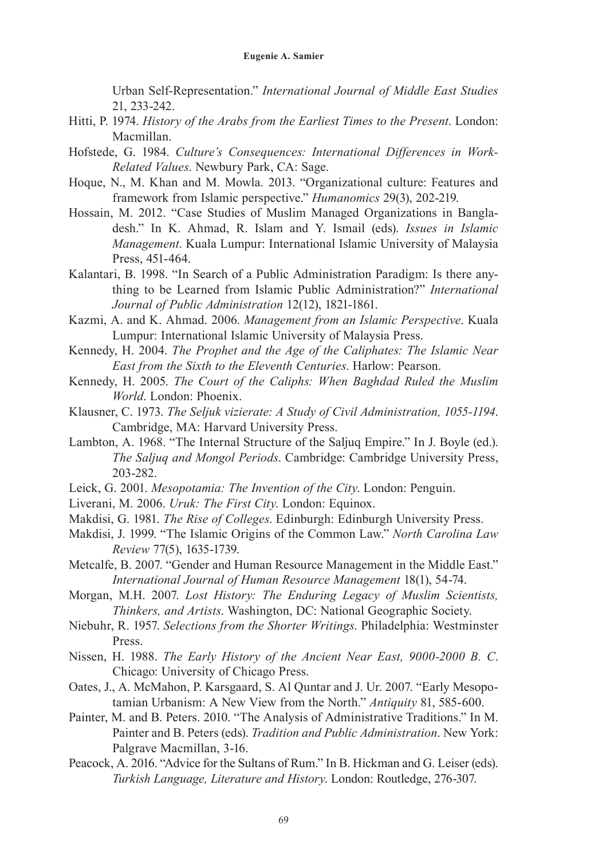Urban Self-Representation." *International Journal of Middle East Studies* 21, 233-242.

- Hitti, P. 1974. *History of the Arabs from the Earliest Times to the Present*. London: Macmillan.
- Hofstede, G. 1984. *Culture's Consequences: International Differences in Work-Related Values*. Newbury Park, CA: Sage.
- Hoque, N., M. Khan and M. Mowla. 2013. "Organizational culture: Features and framework from Islamic perspective." *Humanomics* 29(3), 202-219.
- Hossain, M. 2012. "Case Studies of Muslim Managed Organizations in Bangladesh." In K. Ahmad, R. Islam and Y. Ismail (eds). *Issues in Islamic Management*. Kuala Lumpur: International Islamic University of Malaysia Press, 451-464.
- Kalantari, B. 1998. "In Search of a Public Administration Paradigm: Is there anything to be Learned from Islamic Public Administration?" *International Journal of Public Administration* 12(12), 1821-1861.
- Kazmi, A. and K. Ahmad. 2006. *Management from an Islamic Perspective*. Kuala Lumpur: International Islamic University of Malaysia Press.
- Kennedy, H. 2004. *The Prophet and the Age of the Caliphates: The Islamic Near East from the Sixth to the Eleventh Centuries*. Harlow: Pearson.
- Kennedy, H. 2005. *The Court of the Caliphs: When Baghdad Ruled the Muslim World*. London: Phoenix.
- Klausner, C. 1973. *The Seljuk vizierate: A Study of Civil Administration, 1055-1194*. Cambridge, MA: Harvard University Press.
- Lambton, A. 1968. "The Internal Structure of the Saljuq Empire." In J. Boyle (ed.). *The Saljuq and Mongol Periods*. Cambridge: Cambridge University Press, 203-282.
- Leick, G. 2001. *Mesopotamia: The Invention of the City*. London: Penguin.
- Liverani, M. 2006. *Uruk: The First City*. London: Equinox.
- Makdisi, G. 1981. *The Rise of Colleges*. Edinburgh: Edinburgh University Press.
- Makdisi, J. 1999. "The Islamic Origins of the Common Law." *North Carolina Law Review* 77(5), 1635-1739.
- Metcalfe, B. 2007. "Gender and Human Resource Management in the Middle East." *International Journal of Human Resource Management* 18(1), 54-74.
- Morgan, M.H. 2007. *Lost History: The Enduring Legacy of Muslim Scientists, Thinkers, and Artists*. Washington, DC: National Geographic Society.
- Niebuhr, R. 1957. *Selections from the Shorter Writings*. Philadelphia: Westminster Press.
- Nissen, H. 1988. *The Early History of the Ancient Near East, 9000-2000 B. C*. Chicago: University of Chicago Press.
- Oates, J., A. McMahon, P. Karsgaard, S. Al Quntar and J. Ur. 2007. "Early Mesopotamian Urbanism: A New View from the North." *Antiquity* 81, 585-600.
- Painter, M. and B. Peters. 2010. "The Analysis of Administrative Traditions." In M. Painter and B. Peters (eds). *Tradition and Public Administration*. New York: Palgrave Macmillan, 3-16.
- Peacock, A. 2016. "Advice for the Sultans of Rum." In B. Hickman and G. Leiser (eds). *Turkish Language, Literature and History*. London: Routledge, 276-307.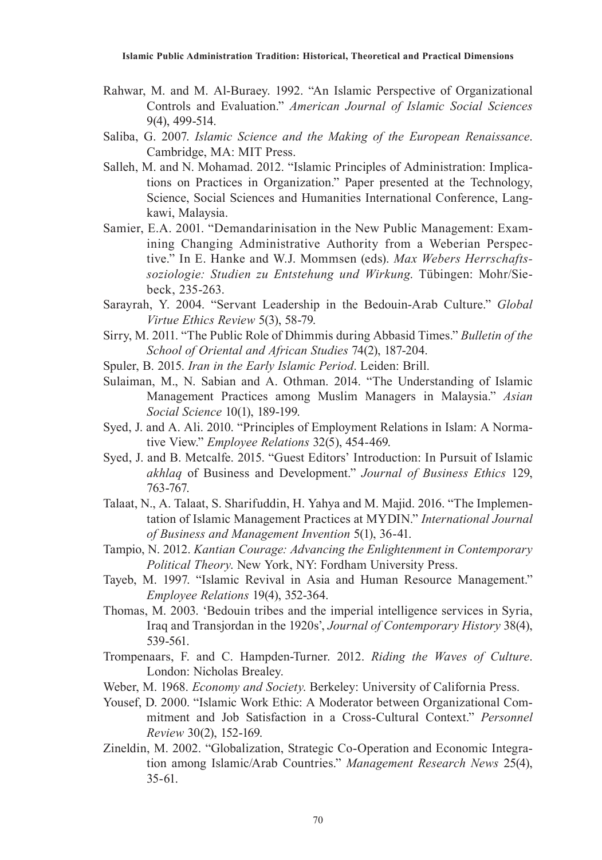- Rahwar, M. and M. Al-Buraey. 1992. "An Islamic Perspective of Organizational Controls and Evaluation." *American Journal of Islamic Social Sciences*  9(4), 499-514.
- Saliba, G. 2007. *Islamic Science and the Making of the European Renaissance*. Cambridge, MA: MIT Press.
- Salleh, M. and N. Mohamad. 2012. "Islamic Principles of Administration: Implications on Practices in Organization." Paper presented at the Technology, Science, Social Sciences and Humanities International Conference, Langkawi, Malaysia.
- Samier, E.A. 2001. "Demandarinisation in the New Public Management: Examining Changing Administrative Authority from a Weberian Perspective." In E. Hanke and W.J. Mommsen (eds). *Max Webers Herrschaftssoziologie: Studien zu Entstehung und Wirkung*. Tübingen: Mohr/Siebeck, 235-263.
- Sarayrah, Y. 2004. "Servant Leadership in the Bedouin-Arab Culture." *Global Virtue Ethics Review* 5(3), 58-79.
- Sirry, M. 2011. "The Public Role of Dhimmis during Abbasid Times." *Bulletin of the School of Oriental and African Studies* 74(2), 187-204.
- Spuler, B. 2015. *Iran in the Early Islamic Period*. Leiden: Brill.
- Sulaiman, M., N. Sabian and A. Othman. 2014. "The Understanding of Islamic Management Practices among Muslim Managers in Malaysia." *Asian Social Science* 10(1), 189-199.
- Syed, J. and A. Ali. 2010. "Principles of Employment Relations in Islam: A Normative View." *Employee Relations* 32(5), 454-469.
- Syed, J. and B. Metcalfe. 2015. "Guest Editors' Introduction: In Pursuit of Islamic *akhlaq* of Business and Development." *Journal of Business Ethics* 129, 763-767.
- Talaat, N., A. Talaat, S. Sharifuddin, H. Yahya and M. Majid. 2016. "The Implementation of Islamic Management Practices at MYDIN." *International Journal of Business and Management Invention* 5(1), 36-41.
- Tampio, N. 2012. *Kantian Courage: Advancing the Enlightenment in Contemporary Political Theory*. New York, NY: Fordham University Press.
- Tayeb, M. 1997. "Islamic Revival in Asia and Human Resource Management." *Employee Relations* 19(4), 352-364.
- Thomas, M. 2003. 'Bedouin tribes and the imperial intelligence services in Syria, Iraq and Transjordan in the 1920s', *Journal of Contemporary History* 38(4), 539-561.
- Trompenaars, F. and C. Hampden-Turner. 2012. *Riding the Waves of Culture*. London: Nicholas Brealey.
- Weber, M. 1968. *Economy and Society*. Berkeley: University of California Press.
- Yousef, D. 2000. "Islamic Work Ethic: A Moderator between Organizational Commitment and Job Satisfaction in a Cross-Cultural Context." *Personnel Review* 30(2), 152-169.
- Zineldin, M. 2002. "Globalization, Strategic Co-Operation and Economic Integration among Islamic/Arab Countries." *Management Research News* 25(4), 35-61.